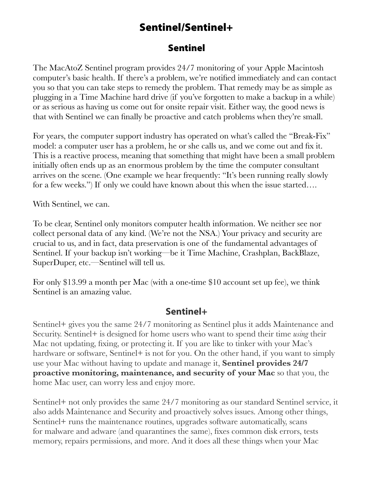### Sentinel

The MacAtoZ Sentinel program provides 24/7 monitoring of your Apple Macintosh computer's basic health. If there's a problem, we're notified immediately and can contact you so that you can take steps to remedy the problem. That remedy may be as simple as plugging in a Time Machine hard drive (if you've forgotten to make a backup in a while) or as serious as having us come out for onsite repair visit. Either way, the good news is that with Sentinel we can finally be proactive and catch problems when they're small.

For years, the computer support industry has operated on what's called the "Break-Fix" model: a computer user has a problem, he or she calls us, and we come out and fix it. This is a reactive process, meaning that something that might have been a small problem initially often ends up as an enormous problem by the time the computer consultant arrives on the scene. (One example we hear frequently: "It's been running really slowly for a few weeks.") If only we could have known about this when the issue started….

With Sentinel, we can.

To be clear, Sentinel only monitors computer health information. We neither see nor collect personal data of any kind. (We're not the NSA.) Your privacy and security are crucial to us, and in fact, data preservation is one of the fundamental advantages of Sentinel. If your backup isn't working—be it Time Machine, Crashplan, BackBlaze, SuperDuper, etc.—Sentinel will tell us.

For only \$13.99 a month per Mac (with a one-time \$10 account set up fee), we think Sentinel is an amazing value.

### **Sentinel+**

Sentinel+ gives you the same 24/7 monitoring as Sentinel plus it adds Maintenance and Security. Sentinel+ is designed for home users who want to spend their time *using* their Mac not updating, fixing, or protecting it. If you are like to tinker with your Mac's hardware or software, Sentinel+ is not for you. On the other hand, if you want to simply use your Mac without having to update and manage it, **Sentinel provides 24/7 proactive monitoring, maintenance, and security of your Mac** so that you, the home Mac user, can worry less and enjoy more.

Sentinel+ not only provides the same 24/7 monitoring as our standard Sentinel service, it also adds Maintenance and Security and proactively solves issues. Among other things, Sentinel+ runs the maintenance routines, upgrades software automatically, scans for malware and adware (and quarantines the same), fixes common disk errors, tests memory, repairs permissions, and more. And it does all these things when your Mac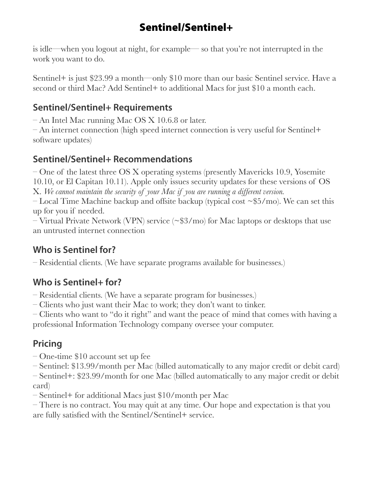is idle—when you logout at night, for example— so that you're not interrupted in the work you want to do.

Sentinel+ is just \$23.99 a month—only \$10 more than our basic Sentinel service. Have a second or third Mac? Add Sentinel + to additional Macs for just \$10 a month each.

## **Sentinel/Sentinel+ Requirements**

– An Intel Mac running Mac OS X 10.6.8 or later.

– An internet connection (high speed internet connection is very useful for Sentinel+ software updates)

## **Sentinel/Sentinel+ Recommendations**

– One of the latest three OS X operating systems (presently Mavericks 10.9, Yosemite 10.10, or El Capitan 10.11). Apple only issues security updates for these versions of OS X. *We cannot maintain the security of your Mac if you are running a different version.*

– Local Time Machine backup and offsite backup (typical cost  $\sim$ \$5/mo). We can set this up for you if needed.

– Virtual Private Network (VPN) service (~\$3/mo) for Mac laptops or desktops that use an untrusted internet connection

## **Who is Sentinel for?**

– Residential clients. (We have separate programs available for businesses.)

## **Who is Sentinel+ for?**

– Residential clients. (We have a separate program for businesses.)

– Clients who just want their Mac to work; they don't want to tinker.

– Clients who want to "do it right" and want the peace of mind that comes with having a professional Information Technology company oversee your computer.

## **Pricing**

– One-time \$10 account set up fee

– Sentinel: \$13.99/month per Mac (billed automatically to any major credit or debit card)

– Sentinel+: \$23.99/month for one Mac (billed automatically to any major credit or debit card)

– Sentinel+ for additional Macs just \$10/month per Mac

– There is no contract. You may quit at any time. Our hope and expectation is that you are fully satisfied with the Sentinel/Sentinel+ service.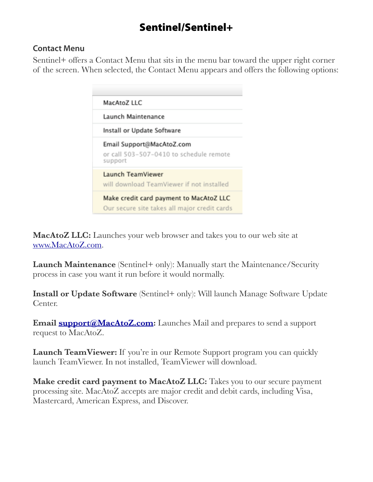#### **Contact Menu**

Sentinel+ offers a Contact Menu that sits in the menu bar toward the upper right corner of the screen. When selected, the Contact Menu appears and offers the following options:

| MacAtoZ LLC                                                                             |
|-----------------------------------------------------------------------------------------|
| Launch Maintenance                                                                      |
| Install or Update Software                                                              |
| Email Support@MacAtoZ.com<br>or call 503-507-0410 to schedule remote<br>support         |
| Launch TeamViewer<br>will download TeamViewer if not installed                          |
| Make credit card payment to MacAtoZ LLC<br>Our secure site takes all major credit cards |

**MacAtoZ LLC:** Launches your web browser and takes you to our web site at [www.MacAtoZ.com.](http://www.MacAtoZ.com)

**Launch Maintenance** (Sentinel+ only): Manually start the Maintenance/Security process in case you want it run before it would normally.

**Install or Update Software** (Sentinel+ only): Will launch Manage Software Update Center.

**Email support@MacAtoZ.com:** Launches Mail and prepares to send a support request to MacAtoZ.

**Launch TeamViewer:** If you're in our Remote Support program you can quickly launch TeamViewer. In not installed, TeamViewer will download.

**Make credit card payment to MacAtoZ LLC:** Takes you to our secure payment processing site. MacAtoZ accepts are major credit and debit cards, including Visa, Mastercard, American Express, and Discover.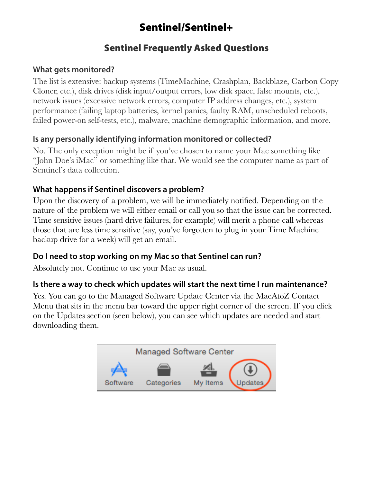### Sentinel Frequently Asked Questions

#### **What gets monitored?**

The list is extensive: backup systems (TimeMachine, Crashplan, Backblaze, Carbon Copy Cloner, etc.), disk drives (disk input/output errors, low disk space, false mounts, etc.), network issues (excessive network errors, computer IP address changes, etc.), system performance (failing laptop batteries, kernel panics, faulty RAM, unscheduled reboots, failed power-on self-tests, etc.), malware, machine demographic information, and more.

#### **Is any personally identifying information monitored or collected?**

No. The only exception might be if you've chosen to name your Mac something like "John Doe's iMac" or something like that. We would see the computer name as part of Sentinel's data collection.

#### **What happens if Sentinel discovers a problem?**

Upon the discovery of a problem, we will be immediately notified. Depending on the nature of the problem we will either email or call you so that the issue can be corrected. Time sensitive issues (hard drive failures, for example) will merit a phone call whereas those that are less time sensitive (say, you've forgotten to plug in your Time Machine backup drive for a week) will get an email.

#### **Do I need to stop working on my Mac so that Sentinel can run?**

Absolutely not. Continue to use your Mac as usual.

#### **Is there a way to check which updates will start the next time I run maintenance?**

Yes. You can go to the Managed Software Update Center via the MacAtoZ Contact Menu that sits in the menu bar toward the upper right corner of the screen. If you click on the Updates section (seen below), you can see which updates are needed and start downloading them.

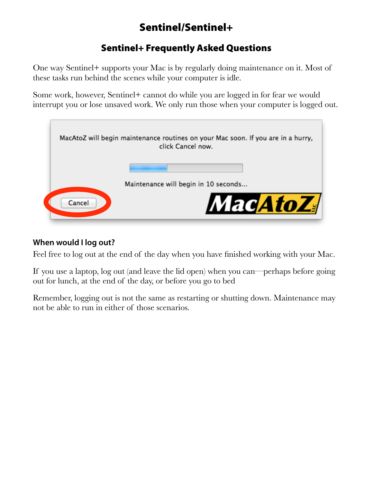## Sentinel+ Frequently Asked Questions

One way Sentinel+ supports your Mac is by regularly doing maintenance on it. Most of these tasks run behind the scenes while your computer is idle.

Some work, however, Sentinel+ cannot do while you are logged in for fear we would interrupt you or lose unsaved work. We only run those when your computer is logged out.



#### **When would I log out?**

Feel free to log out at the end of the day when you have finished working with your Mac.

If you use a laptop, log out (and leave the lid open) when you can—perhaps before going out for lunch, at the end of the day, or before you go to bed

Remember, logging out is not the same as restarting or shutting down. Maintenance may not be able to run in either of those scenarios.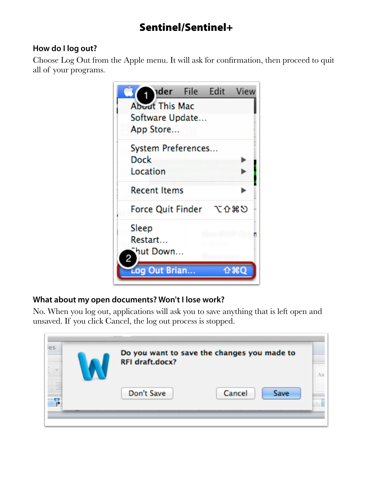### **How do I log out?**

Choose Log Out from the Apple menu. It will ask for confirmation, then proceed to quit all of your programs.



### **What about my open documents? Won't I lose work?**

No. When you log out, applications will ask you to save anything that is left open and unsaved. If you click Cancel, the log out process is stopped.

| Do you want to save the changes you made to<br><b>RFI draft.docx?</b> |                |
|-----------------------------------------------------------------------|----------------|
| Don't Save                                                            | Cancel<br>Save |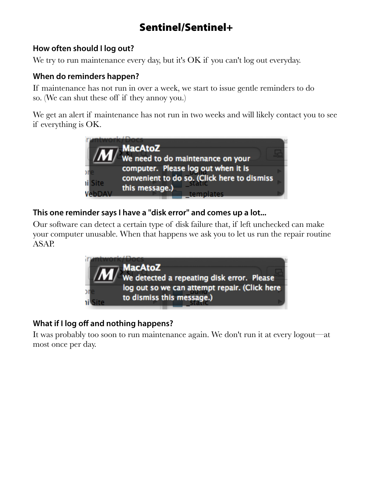#### **How often should I log out?**

We try to run maintenance every day, but it's OK if you can't log out everyday.

#### **When do reminders happen?**

If maintenance has not run in over a week, we start to issue gentle reminders to do so. (We can shut these off if they annoy you.)

We get an alert if maintenance has not run in two weeks and will likely contact you to see if everything is OK.



#### **This one reminder says I have a "disk error" and comes up a lot...**

Our software can detect a certain type of disk failure that, if left unchecked can make your computer unusable. When that happens we ask you to let us run the repair routine ASAP.



### **What if I log off and nothing happens?**

It was probably too soon to run maintenance again. We don't run it at every logout—at most once per day.